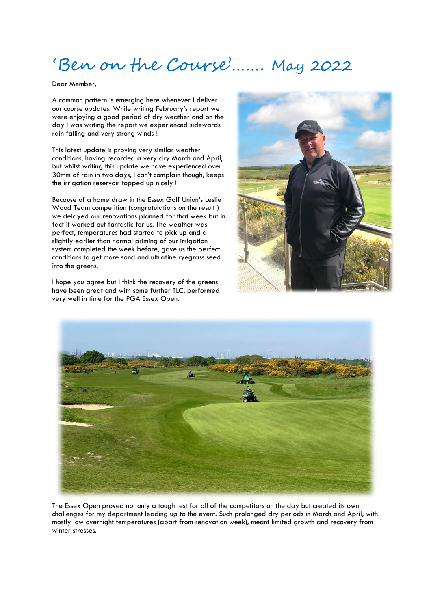## 'Ben on the Course'……. May 2022

Dear Member,

A common pattern is emerging here whenever I deliver our course updates. While writing February's report we were enjoying a good period of dry weather and on the day I was writing the report we experienced sidewards rain falling and very strong winds !

This latest update is proving very similar weather conditions, having recorded a very dry March and April, but whilst writing this update we have experienced over 30mm of rain in two days, I can't complain though, keeps the irrigation reservoir topped up nicely !

Because of a home draw in the Essex Golf Union's Leslie Wood Team competition (congratulations on the result ) we delayed our renovations planned for that week but in fact it worked out fantastic for us. The weather was perfect, temperatures had started to pick up and a slightly earlier than normal priming of our irrigation system completed the week before, gave us the perfect conditions to get more sand and ultrafine ryegrass seed into the areens.

I hope you agree but I think the recovery of the greens have been great and with some further TLC, performed very well in time for the PGA Essex Open.





The Essex Open proved not only a tough test for all of the competitors on the day but created its own challenges for my department leading up to the event. Such prolonged dry periods in March and April, with mostly low overnight temperatures (apart from renovation week), meant limited growth and recovery from winter stresses.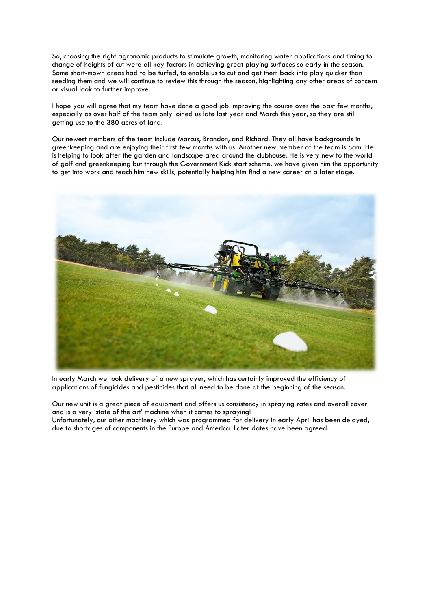So, choosing the right agronomic products to stimulate growth, monitoring water applications and timing to change of heights of cut were all key factors in achieving great playing surfaces so early in the season. Some short-mown areas had to be turfed, to enable us to cut and get them back into play quicker than seeding them and we will continue to review this through the season, highlighting any other areas of concern or visual look to further improve.

I hope you will agree that my team have done a good job improving the course over the past few months, especially as over half of the team only joined us late last year and March this year, so they are still getting use to the 380 acres of land.

Our newest members of the team include Marcus, Brandon, and Richard. They all have backgrounds in greenkeeping and are enjoying their first few months with us. Another new member of the team is Sam. He is helping to look after the garden and landscape area around the clubhouse. He is very new to the world of golf and greenkeeping but through the Government Kick start scheme, we have given him the opportunity to get into work and teach him new skills, potentially helping him find a new career at a later stage.



In early March we took delivery of a new sprayer, which has certainly improved the efficiency of applications of fungicides and pesticides that all need to be done at the beginning of the season.

Our new unit is a great piece of equipment and offers us consistency in spraying rates and overall cover and is a very 'state of the art' machine when it comes to spraying! Unfortunately, our other machinery which was programmed for delivery in early April has been delayed, due to shortages of components in the Europe and America. Later dates have been agreed.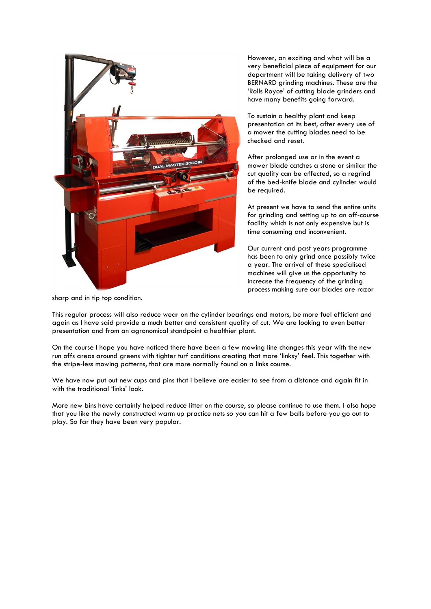

However, an exciting and what will be a very beneficial piece of equipment for our department will be taking delivery of two BERNARD grinding machines. These are the 'Rolls Royce' of cutting blade grinders and have many benefits going forward.

To sustain a healthy plant and keep presentation at its best, after every use of a mower the cutting blades need to be checked and reset.

After prolonged use or in the event a mower blade catches a stone or similar the cut quality can be affected, so a regrind of the bed-knife blade and cylinder would be required.

At present we have to send the entire units for grinding and setting up to an off-course facility which is not only expensive but is time consuming and inconvenient.

Our current and past years programme has been to only grind once possibly twice a year. The arrival of these specialised machines will give us the opportunity to increase the frequency of the grinding process making sure our blades are razor

sharp and in tip top condition.

This regular process will also reduce wear on the cylinder bearings and motors, be more fuel efficient and again as I have said provide a much better and consistent quality of cut. We are looking to even better presentation and from an agronomical standpoint a healthier plant.

On the course I hope you have noticed there have been a few mowing line changes this year with the new run offs areas around greens with tighter turf conditions creating that more 'linksy' feel. This together with the stripe-less mowing patterns, that are more normally found on a links course.

We have now put out new cups and pins that I believe are easier to see from a distance and again fit in with the traditional 'links' look.

More new bins have certainly helped reduce litter on the course, so please continue to use them. I also hope that you like the newly constructed warm up practice nets so you can hit a few balls before you go out to play. So far they have been very popular.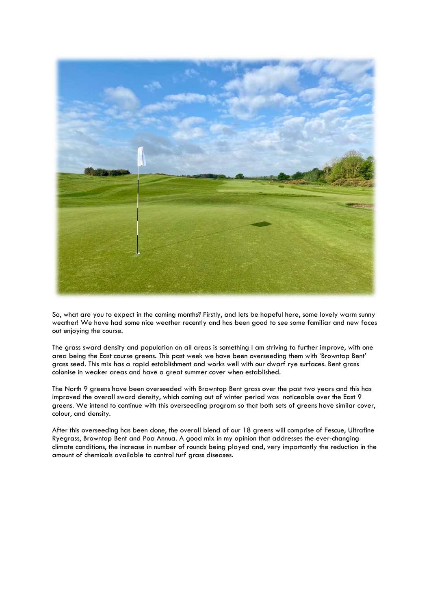

So, what are you to expect in the coming months? Firstly, and lets be hopeful here, some lovely warm sunny weather! We have had some nice weather recently and has been good to see some familiar and new faces out enjoying the course.

The grass sward density and population on all areas is something I am striving to further improve, with one area being the East course greens. This past week we have been overseeding them with 'Browntop Bent' grass seed. This mix has a rapid establishment and works well with our dwarf rye surfaces. Bent grass colonise in weaker areas and have a great summer cover when established.

The North 9 greens have been overseeded with Browntop Bent grass over the past two years and this has improved the overall sward density, which coming out of winter period was noticeable over the East 9 greens. We intend to continue with this overseeding program so that both sets of greens have similar cover, colour, and density.

After this overseeding has been done, the overall blend of our 18 greens will comprise of Fescue, Ultrafine Ryegrass, Browntop Bent and Poa Annua. A good mix in my opinion that addresses the ever-changing climate conditions, the increase in number of rounds being played and, very importantly the reduction in the amount of chemicals available to control turf grass diseases.